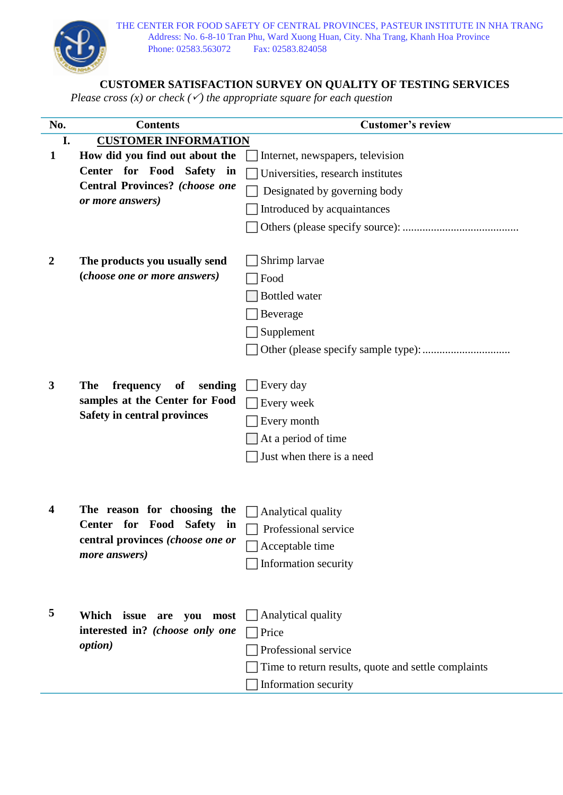

j.

## **CUSTOMER SATISFACTION SURVEY ON QUALITY OF TESTING SERVICES**

*Please cross (x) or check () the appropriate square for each question*

| No.              | <b>Contents</b>                                                                 | <b>Customer's review</b>                            |  |  |  |  |  |
|------------------|---------------------------------------------------------------------------------|-----------------------------------------------------|--|--|--|--|--|
| I.               | <b>CUSTOMER INFORMATION</b>                                                     |                                                     |  |  |  |  |  |
| $\mathbf{1}$     | How did you find out about the                                                  | Internet, newspapers, television                    |  |  |  |  |  |
|                  | Center for Food<br><b>Safety</b><br>in<br><b>Central Provinces?</b> (choose one | Universities, research institutes                   |  |  |  |  |  |
|                  |                                                                                 | Designated by governing body                        |  |  |  |  |  |
|                  | or more answers)                                                                | Introduced by acquaintances                         |  |  |  |  |  |
|                  |                                                                                 |                                                     |  |  |  |  |  |
|                  |                                                                                 |                                                     |  |  |  |  |  |
| $\boldsymbol{2}$ | The products you usually send<br>(choose one or more answers)                   | Shrimp larvae                                       |  |  |  |  |  |
|                  |                                                                                 | Food                                                |  |  |  |  |  |
|                  |                                                                                 | <b>Bottled</b> water                                |  |  |  |  |  |
|                  |                                                                                 | Beverage                                            |  |  |  |  |  |
|                  |                                                                                 | Supplement                                          |  |  |  |  |  |
|                  |                                                                                 |                                                     |  |  |  |  |  |
|                  |                                                                                 |                                                     |  |  |  |  |  |
| 3                | <b>The</b><br>frequency<br>sending<br>of<br>samples at the Center for Food      | Every day                                           |  |  |  |  |  |
|                  |                                                                                 | Every week                                          |  |  |  |  |  |
|                  | <b>Safety in central provinces</b>                                              | Every month                                         |  |  |  |  |  |
|                  |                                                                                 | At a period of time                                 |  |  |  |  |  |
|                  |                                                                                 | Just when there is a need                           |  |  |  |  |  |
|                  |                                                                                 |                                                     |  |  |  |  |  |
|                  |                                                                                 |                                                     |  |  |  |  |  |
| 4                | The reason for choosing the<br><b>Center for Food</b><br><b>Safety</b><br>in    | Analytical quality                                  |  |  |  |  |  |
|                  |                                                                                 | Professional service                                |  |  |  |  |  |
|                  | central provinces (choose one or                                                | Acceptable time                                     |  |  |  |  |  |
|                  | more answers)                                                                   | Information security                                |  |  |  |  |  |
|                  |                                                                                 |                                                     |  |  |  |  |  |
|                  |                                                                                 |                                                     |  |  |  |  |  |
| 5                | Which issue<br>are you most<br>interested in? (choose only one                  | Analytical quality                                  |  |  |  |  |  |
|                  |                                                                                 | Price                                               |  |  |  |  |  |
|                  | <i>option</i> )                                                                 | Professional service                                |  |  |  |  |  |
|                  |                                                                                 | Time to return results, quote and settle complaints |  |  |  |  |  |
|                  |                                                                                 | Information security                                |  |  |  |  |  |
|                  |                                                                                 |                                                     |  |  |  |  |  |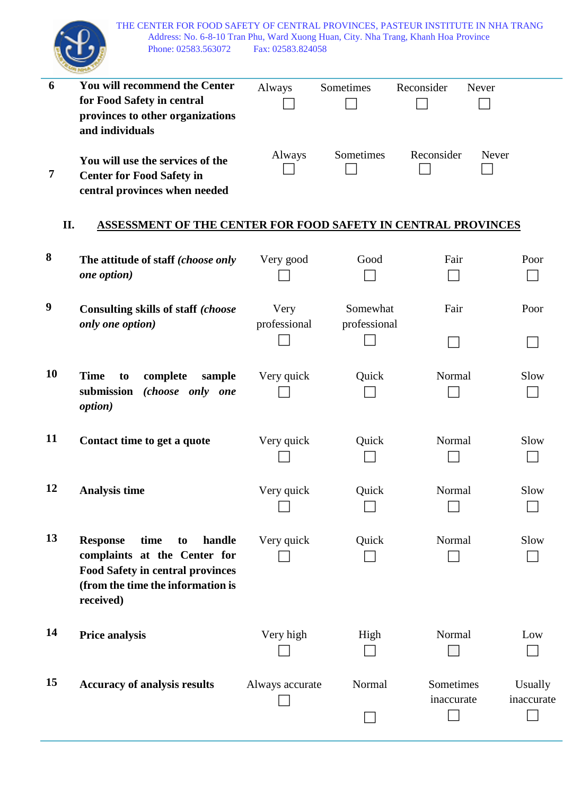THE CENTER FOR FOOD SAFETY OF CENTRAL PROVINCES, PASTEUR INSTITUTE IN NHA TRANG Address: No. 6-8-10 Tran Phu, Ward Xuong Huan, City. Nha Trang, Khanh Hoa Province Phone: 02583.563072 Fax: 02583.824058

|                | Address: No. 6-8-10 Tran Phu, Ward Xuong Huan, City. Nha Trang, Khanh Hoa Province<br>Phone: 02583.563072 | Fax: 02583.824058 |              |            |            |
|----------------|-----------------------------------------------------------------------------------------------------------|-------------------|--------------|------------|------------|
| 6              | You will recommend the Center                                                                             | Always            | Sometimes    | Reconsider | Never      |
|                | for Food Safety in central                                                                                |                   |              |            |            |
|                | provinces to other organizations<br>and individuals                                                       |                   |              |            |            |
|                |                                                                                                           |                   |              |            |            |
|                | You will use the services of the                                                                          | Always            | Sometimes    | Reconsider | Never      |
| $\overline{7}$ | <b>Center for Food Safety in</b>                                                                          |                   |              |            |            |
|                | central provinces when needed                                                                             |                   |              |            |            |
| II.            | <b>ASSESSMENT OF THE CENTER FOR FOOD SAFETY IN CENTRAL PROVINCES</b>                                      |                   |              |            |            |
| 8              | The attitude of staff (choose only                                                                        | Very good         | Good         | Fair       | Poor       |
|                | one option)                                                                                               |                   |              |            |            |
|                |                                                                                                           |                   |              |            |            |
| 9              | Consulting skills of staff (choose                                                                        | Very              | Somewhat     | Fair       | Poor       |
|                | only one option)                                                                                          | professional      | professional |            |            |
|                |                                                                                                           |                   |              |            |            |
| 10             | <b>Time</b><br>complete<br>sample<br>to                                                                   | Very quick        | Quick        | Normal     | Slow       |
|                | submission<br>(choose only one                                                                            |                   |              |            |            |
|                | option)                                                                                                   |                   |              |            |            |
|                |                                                                                                           |                   |              |            |            |
| 11             | Contact time to get a quote                                                                               | Very quick        | Quick        | Normal     | Slow       |
|                |                                                                                                           |                   |              | $\Box$     | $\Box$     |
|                |                                                                                                           |                   |              |            |            |
| 12             | <b>Analysis time</b>                                                                                      | Very quick        | Quick        | Normal     | Slow       |
|                |                                                                                                           |                   |              |            |            |
| 13             | <b>Response</b><br>time<br>handle<br>to                                                                   | Very quick        | Quick        | Normal     | Slow       |
|                | complaints at the Center for                                                                              |                   |              |            |            |
|                | <b>Food Safety in central provinces</b>                                                                   |                   |              |            |            |
|                | (from the time the information is                                                                         |                   |              |            |            |
|                | received)                                                                                                 |                   |              |            |            |
| 14             |                                                                                                           |                   |              |            |            |
|                | <b>Price analysis</b>                                                                                     | Very high         | High         | Normal     | Low        |
|                |                                                                                                           |                   |              |            |            |
| 15             | <b>Accuracy of analysis results</b>                                                                       | Always accurate   | Normal       | Sometimes  | Usually    |
|                |                                                                                                           |                   |              | inaccurate | inaccurate |
|                |                                                                                                           |                   |              |            |            |